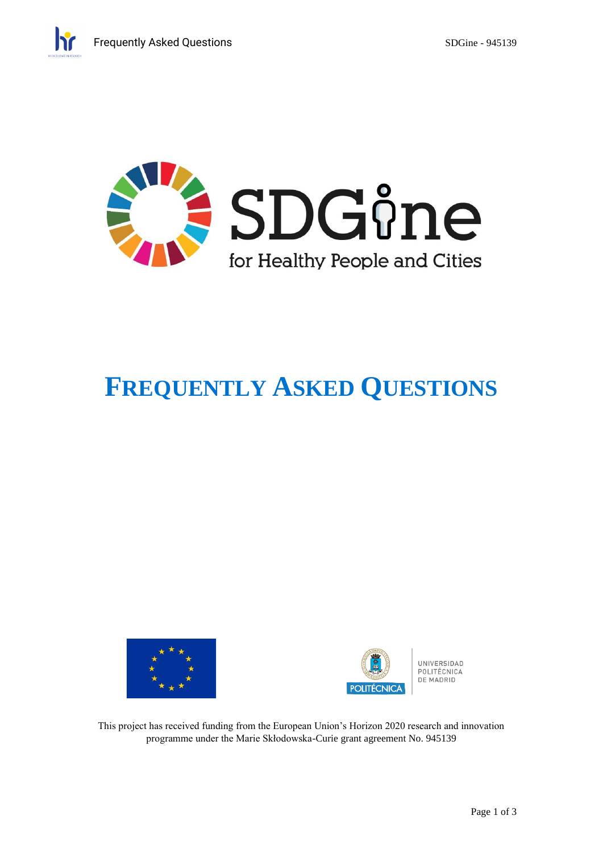

# **FREQUENTLY ASKED QUESTIONS**





UNIVERSIDAD POLITÉCNICA DE MADRID

This project has received funding from the European Union's Horizon 2020 research and innovation programme under the Marie Skłodowska-Curie grant agreement No. 945139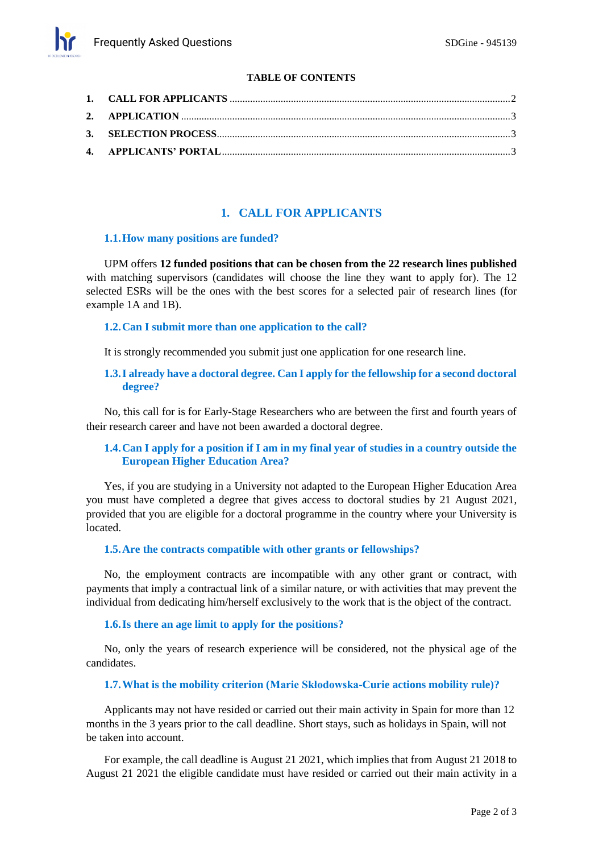## **TABLE OF CONTENTS**

# **1. CALL FOR APPLICANTS**

#### <span id="page-1-0"></span>**1.1.How many positions are funded?**

UPM offers **12 funded positions that can be chosen from the 22 research lines published** with matching supervisors (candidates will choose the line they want to apply for). The 12 selected ESRs will be the ones with the best scores for a selected pair of research lines (for example 1A and 1B).

## **1.2.Can I submit more than one application to the call?**

It is strongly recommended you submit just one application for one research line.

## **1.3.I already have a doctoral degree. Can I apply for the fellowship for a second doctoral degree?**

No, this call for is for Early-Stage Researchers who are between the first and fourth years of their research career and have not been awarded a doctoral degree.

## **1.4.Can I apply for a position if I am in my final year of studies in a country outside the European Higher Education Area?**

Yes, if you are studying in a University not adapted to the European Higher Education Area you must have completed a degree that gives access to doctoral studies by 21 August 2021, provided that you are eligible for a doctoral programme in the country where your University is located.

## **1.5.Are the contracts compatible with other grants or fellowships?**

No, the employment contracts are incompatible with any other grant or contract, with payments that imply a contractual link of a similar nature, or with activities that may prevent the individual from dedicating him/herself exclusively to the work that is the object of the contract.

## **1.6.Is there an age limit to apply for the positions?**

No, only the years of research experience will be considered, not the physical age of the candidates.

## **1.7.What is the mobility criterion (Marie Skłodowska-Curie actions mobility rule)?**

Applicants may not have resided or carried out their main activity in Spain for more than 12 months in the 3 years prior to the call deadline. Short stays, such as holidays in Spain, will not be taken into account.

For example, the call deadline is August 21 2021, which implies that from August 21 2018 to August 21 2021 the eligible candidate must have resided or carried out their main activity in a